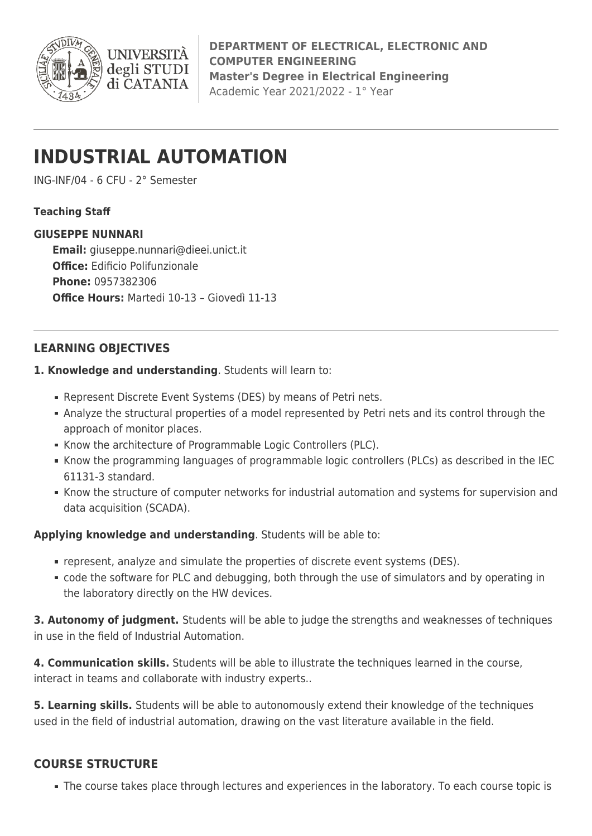

**DEPARTMENT OF ELECTRICAL, ELECTRONIC AND COMPUTER ENGINEERING Master's Degree in Electrical Engineering** Academic Year 2021/2022 - 1° Year

# **INDUSTRIAL AUTOMATION**

**UNIVERSIT** degli STUDI di CATANIA

ING-INF/04 - 6 CFU - 2° Semester

## **Teaching Staff**

## **GIUSEPPE NUNNARI**

**Email:** [giuseppe.nunnari@dieei.unict.it](mailto:giuseppe.nunnari@dieei.unict.it) **Office:** Edificio Polifunzionale **Phone:** 0957382306 **Office Hours:** Martedi 10-13 – Giovedì 11-13

# **LEARNING OBJECTIVES**

- **1. Knowledge and understanding**. Students will learn to:
	- Represent Discrete Event Systems (DES) by means of Petri nets.
	- Analyze the structural properties of a model represented by Petri nets and its control through the approach of monitor places.
	- Know the architecture of Programmable Logic Controllers (PLC).
	- Know the programming languages of programmable logic controllers (PLCs) as described in the IEC 61131-3 standard.
	- Know the structure of computer networks for industrial automation and systems for supervision and data acquisition (SCADA).

**Applying knowledge and understanding**. Students will be able to:

- represent, analyze and simulate the properties of discrete event systems (DES).
- code the software for PLC and debugging, both through the use of simulators and by operating in the laboratory directly on the HW devices.

**3. Autonomy of judgment.** Students will be able to judge the strengths and weaknesses of techniques in use in the field of Industrial Automation.

**4. Communication skills.** Students will be able to illustrate the techniques learned in the course, interact in teams and collaborate with industry experts..

**5. Learning skills.** Students will be able to autonomously extend their knowledge of the techniques used in the field of industrial automation, drawing on the vast literature available in the field.

## **COURSE STRUCTURE**

The course takes place through lectures and experiences in the laboratory. To each course topic is